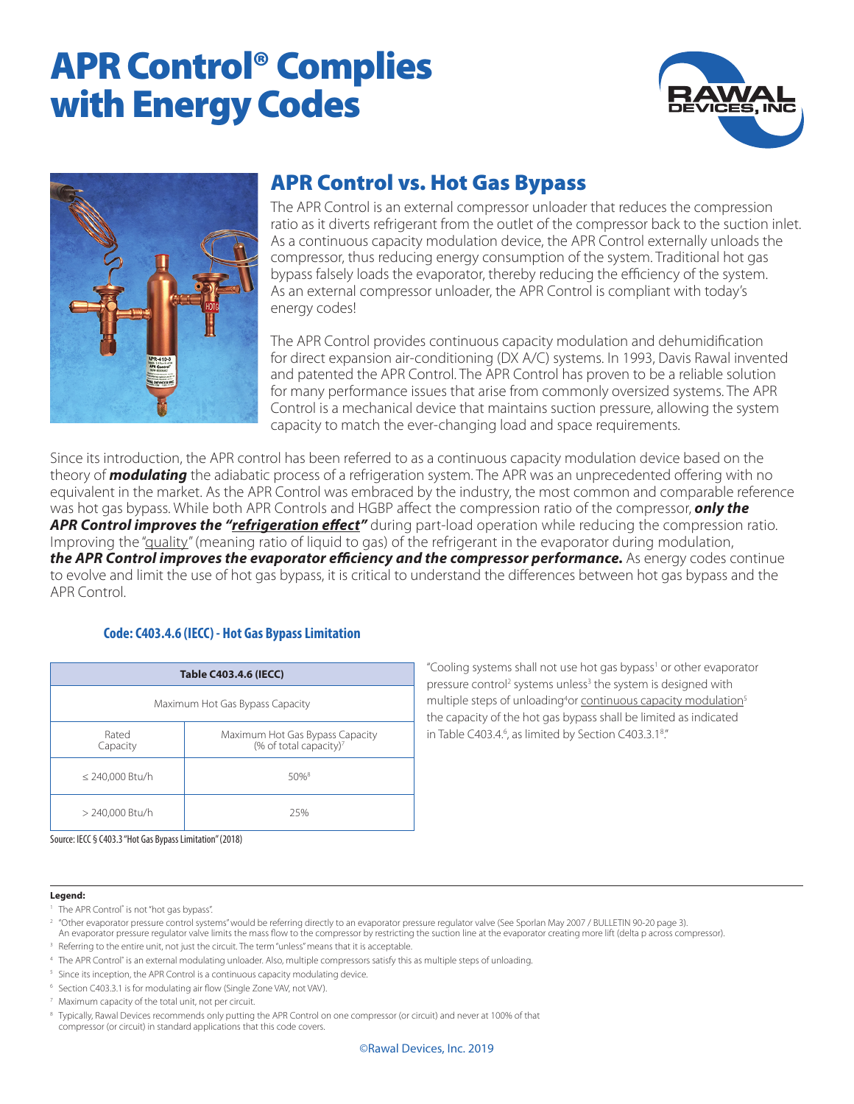# APR Control® Complies with Energy Codes





#### APR Control vs. Hot Gas Bypass

The APR Control is an external compressor unloader that reduces the compression ratio as it diverts refrigerant from the outlet of the compressor back to the suction inlet. As a continuous capacity modulation device, the APR Control externally unloads the compressor, thus reducing energy consumption of the system. Traditional hot gas bypass falsely loads the evaporator, thereby reducing the efficiency of the system. As an external compressor unloader, the APR Control is compliant with today's energy codes!

The APR Control provides continuous capacity modulation and dehumidification for direct expansion air-conditioning (DX A/C) systems. In 1993, Davis Rawal invented and patented the APR Control. The APR Control has proven to be a reliable solution for many performance issues that arise from commonly oversized systems. The APR Control is a mechanical device that maintains suction pressure, allowing the system capacity to match the ever-changing load and space requirements.

Since its introduction, the APR control has been referred to as a continuous capacity modulation device based on the theory of *modulating* the adiabatic process of a refrigeration system. The APR was an unprecedented offering with no equivalent in the market. As the APR Control was embraced by the industry, the most common and comparable reference was hot gas bypass. While both APR Controls and HGBP affect the compression ratio of the compressor, *only the APR Control improves the "refrigeration effect"* during part-load operation while reducing the compression ratio. Improving the "quality" (meaning ratio of liquid to gas) of the refrigerant in the evaporator during modulation, **the APR Control improves the evaporator efficiency and the compressor performance.** As energy codes continue to evolve and limit the use of hot gas bypass, it is critical to understand the differences between hot gas bypass and the APR Control.

#### **Code: C403.4.6 (IECC) - Hot Gas Bypass Limitation**

| <b>Table C403.4.6 (IECC)</b>    |                                                                       |  |
|---------------------------------|-----------------------------------------------------------------------|--|
| Maximum Hot Gas Bypass Capacity |                                                                       |  |
| Rated<br>Capacity               | Maximum Hot Gas Bypass Capacity<br>(% of total capacity) <sup>7</sup> |  |
| ≤ 240,000 Btu/h                 | $50%$ <sup>8</sup>                                                    |  |
| > 240,000 Btu/h                 | 25%                                                                   |  |

"Cooling systems shall not use hot gas bypass<sup>1</sup> or other evaporator pressure control<sup>2</sup> systems unless<sup>3</sup> the system is designed with multiple steps of unloading<sup>4</sup>or continuous capacity modulation<sup>5</sup> the capacity of the hot gas bypass shall be limited as indicated in Table C403.4.<sup>6</sup>, as limited by Section C403.3.1<sup>8</sup>."

Source: IECC § C403.3 "Hot Gas Bypass Limitation" (2018)

#### **Legend:**

- <sup>1</sup> The APR Control<sup>®</sup> is not "hot gas bypass".
- <sup>2</sup> "Other evaporator pressure control systems" would be referring directly to an evaporator pressure regulator valve (See Sporlan May 2007 / BULLETIN 90-20 page 3). An evaporator pressure regulator valve limits the mass flow to the compressor by restricting the suction line at the evaporator creating more lift (delta p across compressor).
- <sup>3</sup> Referring to the entire unit, not just the circuit. The term "unless" means that it is acceptable.
- <sup>4</sup> The APR Control<sup>®</sup> is an external modulating unloader. Also, multiple compressors satisfy this as multiple steps of unloading.
- <sup>5</sup> Since its inception, the APR Control is a continuous capacity modulating device.
- <sup>6</sup> Section C403.3.1 is for modulating air flow (Single Zone VAV, not VAV).
- <sup>7</sup> Maximum capacity of the total unit, not per circuit.

<sup>8</sup> Typically, Rawal Devices recommends only putting the APR Control on one compressor (or circuit) and never at 100% of that compressor (or circuit) in standard applications that this code covers.